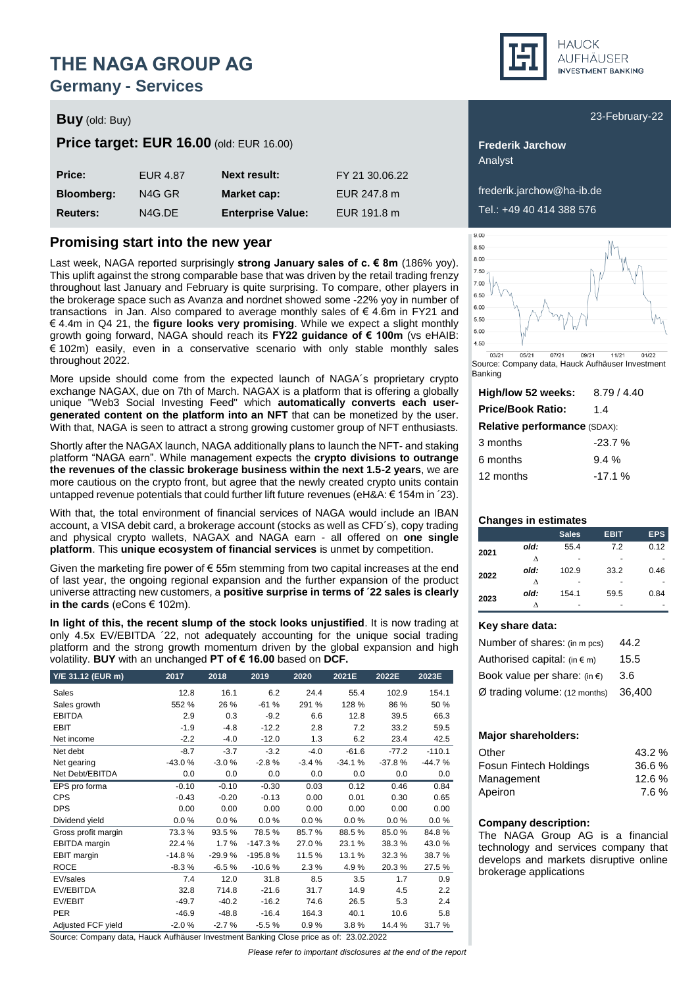### **Germany - Services**

### **Buy** (old: Buy) **Buy** (old: Buy) **Buy** (old: Buy) **Buy** (old: Buy) **Buy** (old: Buy) **Buy** (old: Buy) **Buy** (old: Buy)

#### **Price target: EUR 16.00** (old: EUR 16.00) **Frederik Jarchow Frederik Jarchow**

| Price:            | EUR 4.87 | <b>Next result:</b>      | FY 21 30.06.22 |
|-------------------|----------|--------------------------|----------------|
| <b>Bloomberg:</b> | N4G GR   | Market cap:              | EUR 247.8 m    |
| <b>Reuters:</b>   | N4G.DE   | <b>Enterprise Value:</b> | EUR 191.8 m    |

### **Promising start into the new year**

Last week, NAGA reported surprisingly **strong January sales of c. € 8m** (186% yoy). This uplift against the strong comparable base that was driven by the retail trading frenzy throughout last January and February is quite surprising. To compare, other players in the brokerage space such as Avanza and nordnet showed some -22% yoy in number of transactions in Jan. Also compared to average monthly sales of € 4.6m in FY21 and € 4.4m in Q4 21, the **figure looks very promising**. While we expect a slight monthly growth going forward, NAGA should reach its **FY22 guidance of € 100m** (vs eHAIB: € 102m) easily, even in a conservative scenario with only stable monthly sales throughout 2022.

More upside should come from the expected launch of NAGA´s proprietary crypto exchange NAGAX, due on 7th of March. NAGAX is a platform that is offering a globally unique "Web3 Social Investing Feed" which **automatically converts each usergenerated content on the platform into an NFT** that can be monetized by the user. With that, NAGA is seen to attract a strong growing customer group of NFT enthusiasts.

Shortly after the NAGAX launch, NAGA additionally plans to launch the NFT- and staking platform "NAGA earn". While management expects the **crypto divisions to outrange the revenues of the classic brokerage business within the next 1.5-2 years**, we are more cautious on the crypto front, but agree that the newly created crypto units contain untapped revenue potentials that could further lift future revenues (eH&A:  $\in$  154m in '23).

With that, the total environment of financial services of NAGA would include an IBAN account, a VISA debit card, a brokerage account (stocks as well as CFD´s), copy trading and physical crypto wallets, NAGAX and NAGA earn - all offered on **one single platform**. This **unique ecosystem of financial services** is unmet by competition.

Given the marketing fire power of  $\epsilon$  55m stemming from two capital increases at the end of last year, the ongoing regional expansion and the further expansion of the product universe attracting new customers, a **positive surprise in terms of ´22 sales is clearly in the cards** (eCons € 102m).

**In light of this, the recent slump of the stock looks unjustified**. It is now trading at only 4.5x EV/EBITDA ´22, not adequately accounting for the unique social trading platform and the strong growth momentum driven by the global expansion and high volatility. **BUY** with an unchanged **PT of € 16.00** based on **DCF.**

| Y/E 31.12 (EUR m)    | 2017     | 2018     | 2019      | 2020    | 2021E    | 2022E    | 2023E    |
|----------------------|----------|----------|-----------|---------|----------|----------|----------|
| Sales                | 12.8     | 16.1     | 6.2       | 24.4    | 55.4     | 102.9    | 154.1    |
| Sales growth         | 552 %    | 26 %     | $-61%$    | 291 %   | 128 %    | 86 %     | 50 %     |
| <b>EBITDA</b>        | 2.9      | 0.3      | $-9.2$    | 6.6     | 12.8     | 39.5     | 66.3     |
| <b>EBIT</b>          | $-1.9$   | $-4.8$   | $-12.2$   | 2.8     | 7.2      | 33.2     | 59.5     |
| Net income           | $-2.2$   | $-4.0$   | $-12.0$   | 1.3     | 6.2      | 23.4     | 42.5     |
| Net debt             | $-8.7$   | $-3.7$   | $-3.2$    | $-4.0$  | $-61.6$  | $-77.2$  | $-110.1$ |
| Net gearing          | $-43.0%$ | $-3.0%$  | $-2.8%$   | $-3.4%$ | $-34.1%$ | $-37.8%$ | $-44.7%$ |
| Net Debt/EBITDA      | 0.0      | 0.0      | 0.0       | 0.0     | 0.0      | 0.0      | 0.0      |
| EPS pro forma        | $-0.10$  | $-0.10$  | $-0.30$   | 0.03    | 0.12     | 0.46     | 0.84     |
| <b>CPS</b>           | $-0.43$  | $-0.20$  | $-0.13$   | 0.00    | 0.01     | 0.30     | 0.65     |
| <b>DPS</b>           | 0.00     | 0.00     | 0.00      | 0.00    | 0.00     | 0.00     | 0.00     |
| Dividend yield       | 0.0%     | 0.0%     | 0.0%      | 0.0%    | 0.0%     | 0.0%     | 0.0%     |
| Gross profit margin  | 73.3%    | 93.5%    | 78.5%     | 85.7%   | 88.5%    | 85.0%    | 84.8%    |
| <b>EBITDA</b> margin | 22.4 %   | 1.7%     | $-147.3%$ | 27.0%   | 23.1%    | 38.3%    | 43.0%    |
| <b>EBIT</b> margin   | $-14.8%$ | $-29.9%$ | $-195.8%$ | 11.5%   | 13.1%    | 32.3%    | 38.7%    |
| <b>ROCE</b>          | $-8.3%$  | $-6.5%$  | $-10.6%$  | 2.3%    | 4.9%     | 20.3%    | 27.5%    |
| EV/sales             | 7.4      | 12.0     | 31.8      | 8.5     | 3.5      | 1.7      | 0.9      |
| EV/EBITDA            | 32.8     | 714.8    | $-21.6$   | 31.7    | 14.9     | 4.5      | 2.2      |
| EV/EBIT              | $-49.7$  | $-40.2$  | $-16.2$   | 74.6    | 26.5     | 5.3      | 2.4      |
| <b>PER</b>           | $-46.9$  | $-48.8$  | $-16.4$   | 164.3   | 40.1     | 10.6     | 5.8      |
| Adjusted FCF yield   | $-2.0%$  | $-2.7%$  | $-5.5%$   | 0.9%    | 3.8%     | 14.4 %   | 31.7%    |

Source: Company data, Hauck Aufhäuser Investment Banking Close price as of: 23.02.2022

*Please refer to important disclosures at the end of the report*



Analyst

frederik.jarchow@ha-ib.de Tel.: +49 40 414 388 576



Source: Company data, Hauck Aufhäuser Investment Banking

| High/low 52 weeks:                  | 8.79/4.40 |  |  |  |  |  |  |  |
|-------------------------------------|-----------|--|--|--|--|--|--|--|
| <b>Price/Book Ratio:</b>            | 14        |  |  |  |  |  |  |  |
| <b>Relative performance (SDAX):</b> |           |  |  |  |  |  |  |  |
| 3 months                            | $-23.7%$  |  |  |  |  |  |  |  |
| 6 months                            | $9.4\%$   |  |  |  |  |  |  |  |
| 12 months                           | $-17.1%$  |  |  |  |  |  |  |  |
|                                     |           |  |  |  |  |  |  |  |

#### **Changes in estimates**

|      |      | <b>Sales</b> | <b>EBIT</b> | <b>EPS</b> |
|------|------|--------------|-------------|------------|
| 2021 | old: | 55.4         | 7.2         | 0.12       |
|      | л    |              |             |            |
| 2022 | old: | 102.9        | 33.2        | 0.46       |
|      | л    |              |             |            |
| 2023 | old: | 154.1        | 59.5        | 0.84       |
|      |      |              |             |            |

#### **Key share data:**

| Number of shares: (in m pcs)           | 44.2   |
|----------------------------------------|--------|
| Authorised capital: $(in \in m)$       | 15.5   |
| Book value per share: (in $\epsilon$ ) | 3.6    |
| Ø trading volume: (12 months)          | 36,400 |

#### **Major shareholders:**

| Other                         | 43.2 % |
|-------------------------------|--------|
| <b>Fosun Fintech Holdings</b> | 36.6%  |
| Management                    | 12.6%  |
| Apeiron                       | 7.6%   |

#### **Company description:**

The NAGA Group AG is a financial technology and services company that develops and markets disruptive online brokerage applications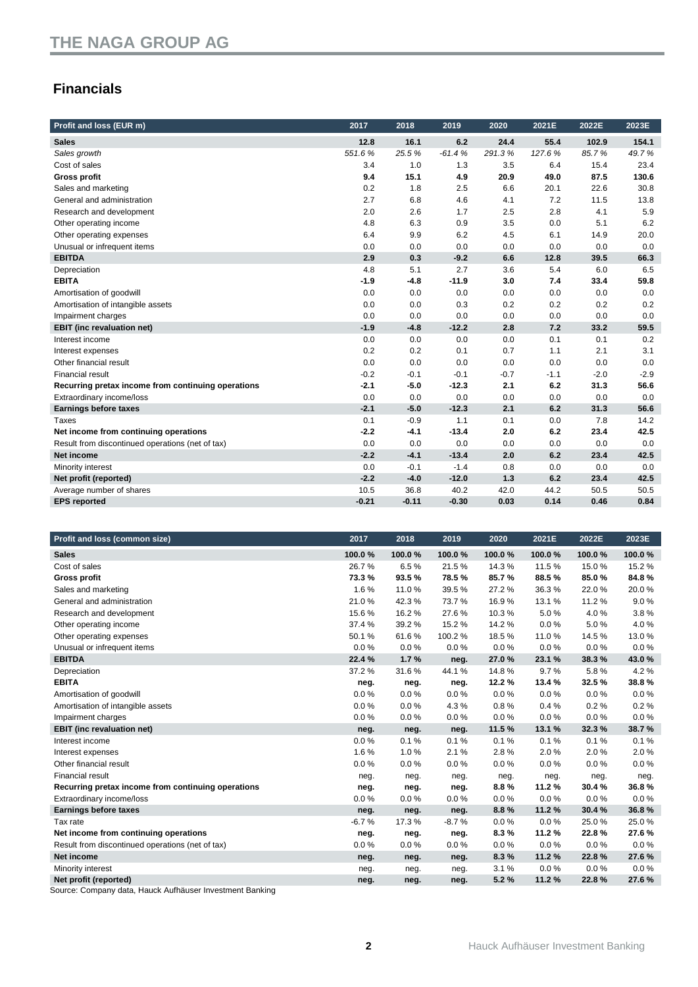### **Financials**

| Profit and loss (EUR m)                            | 2017    | 2018    | 2019     | 2020   | 2021E  | 2022E  | 2023E  |
|----------------------------------------------------|---------|---------|----------|--------|--------|--------|--------|
| <b>Sales</b>                                       | 12.8    | 16.1    | 6.2      | 24.4   | 55.4   | 102.9  | 154.1  |
| Sales growth                                       | 551.6%  | 25.5%   | $-61.4%$ | 291.3% | 127.6% | 85.7%  | 49.7%  |
| Cost of sales                                      | 3.4     | 1.0     | 1.3      | 3.5    | 6.4    | 15.4   | 23.4   |
| <b>Gross profit</b>                                | 9.4     | 15.1    | 4.9      | 20.9   | 49.0   | 87.5   | 130.6  |
| Sales and marketing                                | 0.2     | 1.8     | 2.5      | 6.6    | 20.1   | 22.6   | 30.8   |
| General and administration                         | 2.7     | 6.8     | 4.6      | 4.1    | 7.2    | 11.5   | 13.8   |
| Research and development                           | 2.0     | 2.6     | 1.7      | 2.5    | 2.8    | 4.1    | 5.9    |
| Other operating income                             | 4.8     | 6.3     | 0.9      | 3.5    | 0.0    | 5.1    | 6.2    |
| Other operating expenses                           | 6.4     | 9.9     | 6.2      | 4.5    | 6.1    | 14.9   | 20.0   |
| Unusual or infrequent items                        | 0.0     | 0.0     | 0.0      | 0.0    | 0.0    | 0.0    | 0.0    |
| <b>EBITDA</b>                                      | 2.9     | 0.3     | $-9.2$   | 6.6    | 12.8   | 39.5   | 66.3   |
| Depreciation                                       | 4.8     | 5.1     | 2.7      | 3.6    | 5.4    | 6.0    | 6.5    |
| <b>EBITA</b>                                       | $-1.9$  | $-4.8$  | $-11.9$  | 3.0    | 7.4    | 33.4   | 59.8   |
| Amortisation of goodwill                           | 0.0     | 0.0     | 0.0      | 0.0    | 0.0    | 0.0    | 0.0    |
| Amortisation of intangible assets                  | 0.0     | 0.0     | 0.3      | 0.2    | 0.2    | 0.2    | 0.2    |
| Impairment charges                                 | 0.0     | 0.0     | 0.0      | 0.0    | 0.0    | 0.0    | 0.0    |
| <b>EBIT</b> (inc revaluation net)                  | $-1.9$  | $-4.8$  | $-12.2$  | 2.8    | 7.2    | 33.2   | 59.5   |
| Interest income                                    | 0.0     | 0.0     | 0.0      | 0.0    | 0.1    | 0.1    | 0.2    |
| Interest expenses                                  | 0.2     | 0.2     | 0.1      | 0.7    | 1.1    | 2.1    | 3.1    |
| Other financial result                             | 0.0     | 0.0     | 0.0      | 0.0    | 0.0    | 0.0    | 0.0    |
| <b>Financial result</b>                            | $-0.2$  | $-0.1$  | $-0.1$   | $-0.7$ | $-1.1$ | $-2.0$ | $-2.9$ |
| Recurring pretax income from continuing operations | $-2.1$  | $-5.0$  | $-12.3$  | 2.1    | 6.2    | 31.3   | 56.6   |
| Extraordinary income/loss                          | 0.0     | 0.0     | 0.0      | 0.0    | 0.0    | 0.0    | 0.0    |
| <b>Earnings before taxes</b>                       | $-2.1$  | $-5.0$  | $-12.3$  | 2.1    | 6.2    | 31.3   | 56.6   |
| Taxes                                              | 0.1     | $-0.9$  | 1.1      | 0.1    | 0.0    | 7.8    | 14.2   |
| Net income from continuing operations              | $-2.2$  | $-4.1$  | $-13.4$  | 2.0    | 6.2    | 23.4   | 42.5   |
| Result from discontinued operations (net of tax)   | 0.0     | 0.0     | 0.0      | 0.0    | 0.0    | 0.0    | 0.0    |
| <b>Net income</b>                                  | $-2.2$  | $-4.1$  | $-13.4$  | 2.0    | 6.2    | 23.4   | 42.5   |
| Minority interest                                  | 0.0     | $-0.1$  | $-1.4$   | 0.8    | 0.0    | 0.0    | 0.0    |
| Net profit (reported)                              | $-2.2$  | $-4.0$  | $-12.0$  | 1.3    | 6.2    | 23.4   | 42.5   |
| Average number of shares                           | 10.5    | 36.8    | 40.2     | 42.0   | 44.2   | 50.5   | 50.5   |
| <b>EPS</b> reported                                | $-0.21$ | $-0.11$ | $-0.30$  | 0.03   | 0.14   | 0.46   | 0.84   |

| Profit and loss (common size)                      | 2017    | 2018   | 2019    | 2020   | 2021E  | 2022E  | 2023E  |
|----------------------------------------------------|---------|--------|---------|--------|--------|--------|--------|
| <b>Sales</b>                                       | 100.0%  | 100.0% | 100.0%  | 100.0% | 100.0% | 100.0% | 100.0% |
| Cost of sales                                      | 26.7%   | 6.5%   | 21.5%   | 14.3%  | 11.5%  | 15.0%  | 15.2%  |
| <b>Gross profit</b>                                | 73.3%   | 93.5%  | 78.5%   | 85.7%  | 88.5%  | 85.0%  | 84.8%  |
| Sales and marketing                                | 1.6%    | 11.0%  | 39.5%   | 27.2%  | 36.3%  | 22.0%  | 20.0%  |
| General and administration                         | 21.0%   | 42.3%  | 73.7%   | 16.9%  | 13.1%  | 11.2%  | 9.0%   |
| Research and development                           | 15.6%   | 16.2%  | 27.6%   | 10.3%  | 5.0%   | 4.0%   | 3.8%   |
| Other operating income                             | 37.4 %  | 39.2%  | 15.2%   | 14.2%  | 0.0%   | 5.0%   | 4.0%   |
| Other operating expenses                           | 50.1%   | 61.6%  | 100.2%  | 18.5%  | 11.0%  | 14.5%  | 13.0%  |
| Unusual or infrequent items                        | 0.0%    | 0.0%   | 0.0%    | 0.0%   | 0.0%   | 0.0%   | 0.0%   |
| <b>EBITDA</b>                                      | 22.4 %  | 1.7%   | neg.    | 27.0%  | 23.1%  | 38.3%  | 43.0%  |
| Depreciation                                       | 37.2%   | 31.6%  | 44.1%   | 14.8%  | 9.7%   | 5.8%   | 4.2%   |
| <b>EBITA</b>                                       | neg.    | neg.   | neg.    | 12.2%  | 13.4%  | 32.5%  | 38.8%  |
| Amortisation of goodwill                           | 0.0%    | 0.0%   | 0.0%    | 0.0%   | 0.0%   | 0.0%   | 0.0%   |
| Amortisation of intangible assets                  | 0.0%    | 0.0%   | 4.3%    | 0.8%   | 0.4%   | 0.2%   | 0.2%   |
| Impairment charges                                 | 0.0%    | 0.0%   | 0.0%    | 0.0%   | 0.0%   | 0.0%   | 0.0%   |
| <b>EBIT</b> (inc revaluation net)                  | neg.    | neg.   | neg.    | 11.5%  | 13.1 % | 32.3%  | 38.7%  |
| Interest income                                    | 0.0%    | 0.1%   | 0.1%    | 0.1%   | 0.1%   | 0.1%   | 0.1%   |
| Interest expenses                                  | 1.6%    | 1.0%   | 2.1%    | 2.8%   | 2.0%   | 2.0%   | 2.0%   |
| Other financial result                             | 0.0%    | 0.0%   | 0.0%    | 0.0%   | 0.0%   | 0.0%   | 0.0%   |
| <b>Financial result</b>                            | neg.    | neg.   | neg.    | neg.   | neg.   | neg.   | neg.   |
| Recurring pretax income from continuing operations | neg.    | neg.   | neg.    | 8.8%   | 11.2%  | 30.4%  | 36.8%  |
| Extraordinary income/loss                          | 0.0%    | 0.0%   | 0.0%    | 0.0%   | 0.0%   | 0.0%   | 0.0%   |
| <b>Earnings before taxes</b>                       | neg.    | neg.   | neg.    | 8.8%   | 11.2%  | 30.4%  | 36.8%  |
| Tax rate                                           | $-6.7%$ | 17.3%  | $-8.7%$ | 0.0%   | 0.0%   | 25.0%  | 25.0%  |
| Net income from continuing operations              | neg.    | neg.   | neg.    | 8.3%   | 11.2%  | 22.8%  | 27.6%  |
| Result from discontinued operations (net of tax)   | 0.0%    | 0.0%   | 0.0%    | 0.0%   | 0.0%   | 0.0%   | 0.0%   |
| Net income                                         | neg.    | neg.   | neg.    | 8.3%   | 11.2%  | 22.8%  | 27.6%  |
| Minority interest                                  | neg.    | neg.   | neg.    | 3.1%   | 0.0%   | 0.0%   | 0.0%   |
| Net profit (reported)                              | neg.    | neg.   | neg.    | 5.2%   | 11.2%  | 22.8%  | 27.6%  |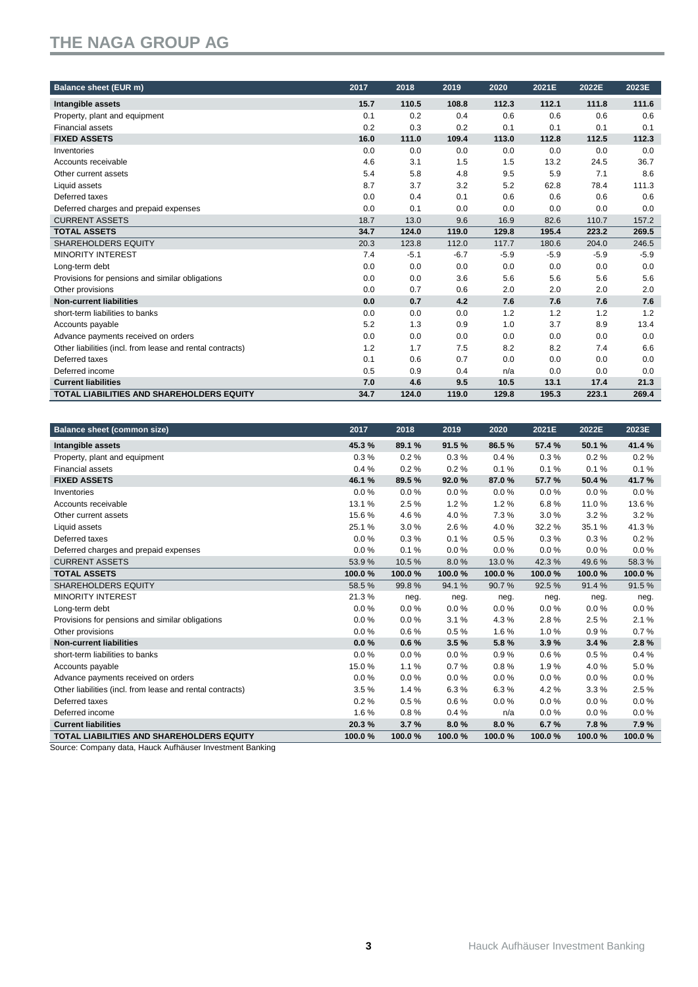| <b>Balance sheet (EUR m)</b>                              | 2017 | 2018   | 2019   | 2020   | 2021E  | 2022E  | 2023E  |
|-----------------------------------------------------------|------|--------|--------|--------|--------|--------|--------|
| Intangible assets                                         | 15.7 | 110.5  | 108.8  | 112.3  | 112.1  | 111.8  | 111.6  |
| Property, plant and equipment                             | 0.1  | 0.2    | 0.4    | 0.6    | 0.6    | 0.6    | 0.6    |
| <b>Financial assets</b>                                   | 0.2  | 0.3    | 0.2    | 0.1    | 0.1    | 0.1    | 0.1    |
| <b>FIXED ASSETS</b>                                       | 16.0 | 111.0  | 109.4  | 113.0  | 112.8  | 112.5  | 112.3  |
| Inventories                                               | 0.0  | 0.0    | 0.0    | 0.0    | 0.0    | 0.0    | 0.0    |
| Accounts receivable                                       | 4.6  | 3.1    | 1.5    | 1.5    | 13.2   | 24.5   | 36.7   |
| Other current assets                                      | 5.4  | 5.8    | 4.8    | 9.5    | 5.9    | 7.1    | 8.6    |
| Liquid assets                                             | 8.7  | 3.7    | 3.2    | 5.2    | 62.8   | 78.4   | 111.3  |
| Deferred taxes                                            | 0.0  | 0.4    | 0.1    | 0.6    | 0.6    | 0.6    | 0.6    |
| Deferred charges and prepaid expenses                     | 0.0  | 0.1    | 0.0    | 0.0    | 0.0    | 0.0    | 0.0    |
| <b>CURRENT ASSETS</b>                                     | 18.7 | 13.0   | 9.6    | 16.9   | 82.6   | 110.7  | 157.2  |
| <b>TOTAL ASSETS</b>                                       | 34.7 | 124.0  | 119.0  | 129.8  | 195.4  | 223.2  | 269.5  |
| <b>SHAREHOLDERS EQUITY</b>                                | 20.3 | 123.8  | 112.0  | 117.7  | 180.6  | 204.0  | 246.5  |
| <b>MINORITY INTEREST</b>                                  | 7.4  | $-5.1$ | $-6.7$ | $-5.9$ | $-5.9$ | $-5.9$ | $-5.9$ |
| Long-term debt                                            | 0.0  | 0.0    | 0.0    | 0.0    | 0.0    | 0.0    | 0.0    |
| Provisions for pensions and similar obligations           | 0.0  | 0.0    | 3.6    | 5.6    | 5.6    | 5.6    | 5.6    |
| Other provisions                                          | 0.0  | 0.7    | 0.6    | 2.0    | 2.0    | 2.0    | 2.0    |
| <b>Non-current liabilities</b>                            | 0.0  | 0.7    | 4.2    | 7.6    | 7.6    | 7.6    | 7.6    |
| short-term liabilities to banks                           | 0.0  | 0.0    | 0.0    | 1.2    | 1.2    | 1.2    | 1.2    |
| Accounts payable                                          | 5.2  | 1.3    | 0.9    | 1.0    | 3.7    | 8.9    | 13.4   |
| Advance payments received on orders                       | 0.0  | 0.0    | 0.0    | 0.0    | 0.0    | 0.0    | 0.0    |
| Other liabilities (incl. from lease and rental contracts) | 1.2  | 1.7    | 7.5    | 8.2    | 8.2    | 7.4    | 6.6    |
| Deferred taxes                                            | 0.1  | 0.6    | 0.7    | 0.0    | 0.0    | 0.0    | 0.0    |
| Deferred income                                           | 0.5  | 0.9    | 0.4    | n/a    | 0.0    | 0.0    | 0.0    |
| <b>Current liabilities</b>                                | 7.0  | 4.6    | 9.5    | 10.5   | 13.1   | 17.4   | 21.3   |
| <b>TOTAL LIABILITIES AND SHAREHOLDERS EQUITY</b>          | 34.7 | 124.0  | 119.0  | 129.8  | 195.3  | 223.1  | 269.4  |

| <b>Balance sheet (common size)</b>                        | 2017   | 2018     | 2019   | 2020   | 2021E    | 2022E   | 2023E  |
|-----------------------------------------------------------|--------|----------|--------|--------|----------|---------|--------|
| Intangible assets                                         | 45.3%  | 89.1%    | 91.5%  | 86.5%  | 57.4%    | 50.1%   | 41.4%  |
| Property, plant and equipment                             | 0.3%   | 0.2%     | 0.3%   | 0.4%   | 0.3%     | 0.2%    | 0.2%   |
| <b>Financial assets</b>                                   | 0.4%   | 0.2%     | 0.2%   | 0.1%   | 0.1%     | 0.1%    | 0.1%   |
| <b>FIXED ASSETS</b>                                       | 46.1%  | 89.5%    | 92.0%  | 87.0%  | 57.7%    | 50.4%   | 41.7%  |
| Inventories                                               | 0.0%   | 0.0%     | 0.0%   | 0.0%   | 0.0%     | 0.0%    | 0.0%   |
| Accounts receivable                                       | 13.1%  | 2.5%     | 1.2%   | 1.2%   | 6.8%     | 11.0%   | 13.6%  |
| Other current assets                                      | 15.6%  | 4.6%     | 4.0%   | 7.3%   | 3.0%     | 3.2%    | 3.2%   |
| Liquid assets                                             | 25.1%  | 3.0%     | 2.6%   | 4.0%   | 32.2 %   | 35.1%   | 41.3%  |
| Deferred taxes                                            | 0.0%   | 0.3%     | 0.1%   | 0.5%   | 0.3%     | 0.3%    | 0.2%   |
| Deferred charges and prepaid expenses                     | 0.0%   | 0.1%     | 0.0%   | 0.0%   | 0.0%     | 0.0%    | 0.0%   |
| <b>CURRENT ASSETS</b>                                     | 53.9%  | 10.5%    | 8.0%   | 13.0%  | 42.3%    | 49.6%   | 58.3%  |
| <b>TOTAL ASSETS</b>                                       | 100.0% | 100.0%   | 100.0% | 100.0% | 100.0%   | 100.0%  | 100.0% |
| <b>SHAREHOLDERS EQUITY</b>                                | 58.5%  | 99.8%    | 94.1%  | 90.7%  | 92.5%    | 91.4%   | 91.5%  |
| <b>MINORITY INTEREST</b>                                  | 21.3%  | neg.     | neg.   | neg.   | neg.     | neg.    | neg.   |
| Long-term debt                                            | 0.0%   | 0.0%     | 0.0%   | 0.0%   | 0.0%     | $0.0\%$ | 0.0%   |
| Provisions for pensions and similar obligations           | 0.0%   | 0.0%     | 3.1%   | 4.3%   | 2.8%     | 2.5%    | 2.1%   |
| Other provisions                                          | 0.0%   | 0.6%     | 0.5%   | 1.6%   | 1.0%     | 0.9%    | 0.7%   |
| <b>Non-current liabilities</b>                            | 0.0%   | 0.6%     | 3.5%   | 5.8%   | 3.9%     | 3.4%    | 2.8%   |
| short-term liabilities to banks                           | 0.0%   | $0.0 \%$ | 0.0%   | 0.9%   | 0.6%     | 0.5%    | 0.4%   |
| Accounts payable                                          | 15.0%  | 1.1%     | 0.7%   | 0.8%   | 1.9%     | 4.0%    | 5.0%   |
| Advance payments received on orders                       | 0.0%   | 0.0%     | 0.0%   | 0.0%   | $0.0 \%$ | $0.0\%$ | 0.0%   |
| Other liabilities (incl. from lease and rental contracts) | 3.5%   | 1.4%     | 6.3%   | 6.3%   | 4.2%     | 3.3%    | 2.5%   |
| Deferred taxes                                            | 0.2%   | 0.5%     | 0.6%   | 0.0%   | 0.0%     | 0.0%    | 0.0%   |
| Deferred income                                           | 1.6%   | 0.8%     | 0.4%   | n/a    | 0.0%     | 0.0%    | 0.0%   |
| <b>Current liabilities</b>                                | 20.3%  | 3.7%     | 8.0%   | 8.0%   | 6.7%     | 7.8%    | 7.9%   |
| <b>TOTAL LIABILITIES AND SHAREHOLDERS EQUITY</b>          | 100.0% | 100.0%   | 100.0% | 100.0% | 100.0%   | 100.0%  | 100.0% |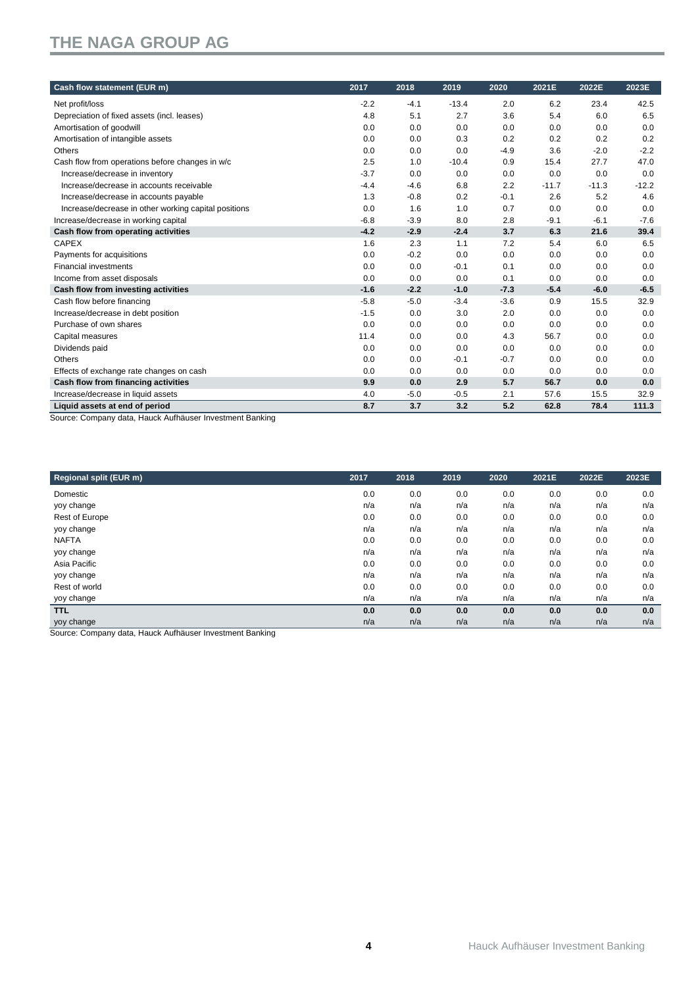| Cash flow statement (EUR m)                                                                                                            | 2017   | 2018   | 2019    | 2020   | 2021E   | 2022E   | 2023E   |
|----------------------------------------------------------------------------------------------------------------------------------------|--------|--------|---------|--------|---------|---------|---------|
| Net profit/loss                                                                                                                        | $-2.2$ | $-4.1$ | $-13.4$ | 2.0    | 6.2     | 23.4    | 42.5    |
| Depreciation of fixed assets (incl. leases)                                                                                            | 4.8    | 5.1    | 2.7     | 3.6    | 5.4     | 6.0     | 6.5     |
| Amortisation of goodwill                                                                                                               | 0.0    | 0.0    | 0.0     | 0.0    | 0.0     | 0.0     | 0.0     |
| Amortisation of intangible assets                                                                                                      | 0.0    | 0.0    | 0.3     | 0.2    | 0.2     | 0.2     | 0.2     |
| Others                                                                                                                                 | 0.0    | 0.0    | 0.0     | $-4.9$ | 3.6     | $-2.0$  | $-2.2$  |
| Cash flow from operations before changes in w/c                                                                                        | 2.5    | 1.0    | $-10.4$ | 0.9    | 15.4    | 27.7    | 47.0    |
| Increase/decrease in inventory                                                                                                         | $-3.7$ | 0.0    | 0.0     | 0.0    | 0.0     | 0.0     | 0.0     |
| Increase/decrease in accounts receivable                                                                                               | $-4.4$ | $-4.6$ | 6.8     | 2.2    | $-11.7$ | $-11.3$ | $-12.2$ |
| Increase/decrease in accounts payable                                                                                                  | 1.3    | $-0.8$ | 0.2     | $-0.1$ | 2.6     | 5.2     | 4.6     |
| Increase/decrease in other working capital positions                                                                                   | 0.0    | 1.6    | 1.0     | 0.7    | 0.0     | 0.0     | 0.0     |
| Increase/decrease in working capital                                                                                                   | $-6.8$ | $-3.9$ | 8.0     | 2.8    | $-9.1$  | $-6.1$  | $-7.6$  |
| Cash flow from operating activities                                                                                                    | $-4.2$ | $-2.9$ | $-2.4$  | 3.7    | 6.3     | 21.6    | 39.4    |
| <b>CAPEX</b>                                                                                                                           | 1.6    | 2.3    | 1.1     | 7.2    | 5.4     | 6.0     | 6.5     |
| Payments for acquisitions                                                                                                              | 0.0    | $-0.2$ | 0.0     | 0.0    | 0.0     | 0.0     | 0.0     |
| <b>Financial investments</b>                                                                                                           | 0.0    | 0.0    | $-0.1$  | 0.1    | 0.0     | 0.0     | 0.0     |
| Income from asset disposals                                                                                                            | 0.0    | 0.0    | 0.0     | 0.1    | 0.0     | 0.0     | 0.0     |
| Cash flow from investing activities                                                                                                    | $-1.6$ | $-2.2$ | $-1.0$  | $-7.3$ | $-5.4$  | $-6.0$  | $-6.5$  |
| Cash flow before financing                                                                                                             | $-5.8$ | $-5.0$ | $-3.4$  | $-3.6$ | 0.9     | 15.5    | 32.9    |
| Increase/decrease in debt position                                                                                                     | $-1.5$ | 0.0    | 3.0     | 2.0    | 0.0     | 0.0     | 0.0     |
| Purchase of own shares                                                                                                                 | 0.0    | 0.0    | 0.0     | 0.0    | 0.0     | 0.0     | 0.0     |
| Capital measures                                                                                                                       | 11.4   | 0.0    | 0.0     | 4.3    | 56.7    | 0.0     | 0.0     |
| Dividends paid                                                                                                                         | 0.0    | 0.0    | 0.0     | 0.0    | 0.0     | 0.0     | 0.0     |
| Others                                                                                                                                 | 0.0    | 0.0    | $-0.1$  | $-0.7$ | 0.0     | 0.0     | 0.0     |
| Effects of exchange rate changes on cash                                                                                               | 0.0    | 0.0    | 0.0     | 0.0    | 0.0     | 0.0     | 0.0     |
| Cash flow from financing activities                                                                                                    | 9.9    | 0.0    | 2.9     | 5.7    | 56.7    | 0.0     | 0.0     |
| Increase/decrease in liquid assets                                                                                                     | 4.0    | $-5.0$ | $-0.5$  | 2.1    | 57.6    | 15.5    | 32.9    |
| Liquid assets at end of period<br>$\mathbf{a}$ , $\mathbf{a}$ , $\mathbf{a}$ , $\mathbf{a}$ , $\mathbf{a}$<br>$\overline{\phantom{0}}$ | 8.7    | 3.7    | 3.2     | 5.2    | 62.8    | 78.4    | 111.3   |

Source: Company data, Hauck Aufhäuser Investment Banking

| 2017 | 2018 | 2019 | 2020 | 2021E | 2022E | 2023E |
|------|------|------|------|-------|-------|-------|
| 0.0  | 0.0  | 0.0  | 0.0  | 0.0   | 0.0   | 0.0   |
| n/a  | n/a  | n/a  | n/a  | n/a   | n/a   | n/a   |
| 0.0  | 0.0  | 0.0  | 0.0  | 0.0   | 0.0   | 0.0   |
| n/a  | n/a  | n/a  | n/a  | n/a   | n/a   | n/a   |
| 0.0  | 0.0  | 0.0  | 0.0  | 0.0   | 0.0   | 0.0   |
| n/a  | n/a  | n/a  | n/a  | n/a   | n/a   | n/a   |
| 0.0  | 0.0  | 0.0  | 0.0  | 0.0   | 0.0   | 0.0   |
| n/a  | n/a  | n/a  | n/a  | n/a   | n/a   | n/a   |
| 0.0  | 0.0  | 0.0  | 0.0  | 0.0   | 0.0   | 0.0   |
| n/a  | n/a  | n/a  | n/a  | n/a   | n/a   | n/a   |
| 0.0  | 0.0  | 0.0  | 0.0  | 0.0   | 0.0   | 0.0   |
| n/a  | n/a  | n/a  | n/a  | n/a   | n/a   | n/a   |
|      |      |      |      |       |       |       |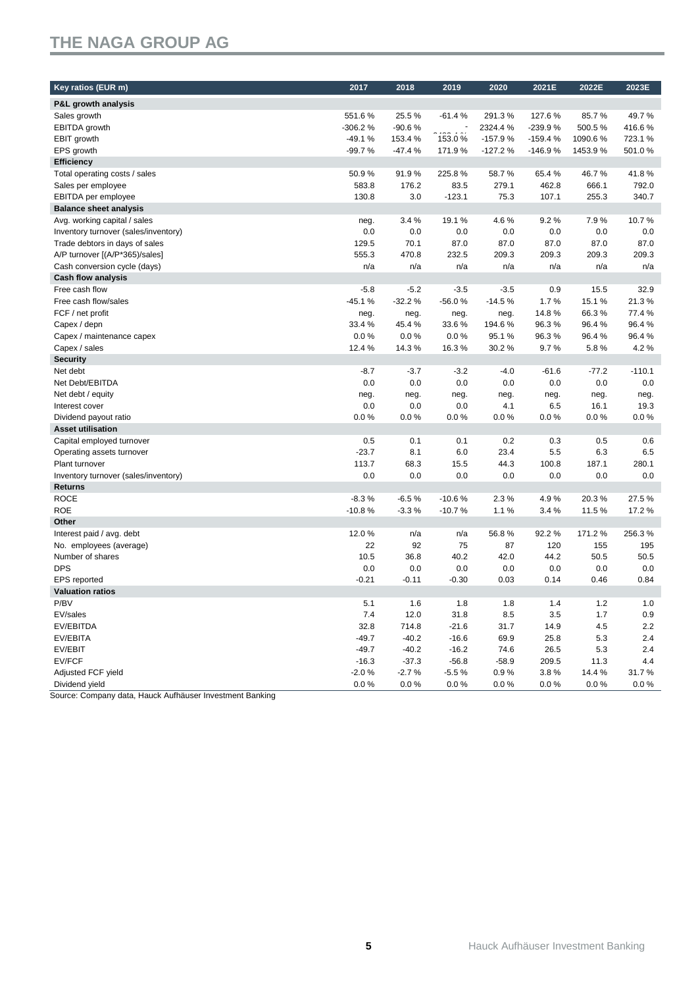| Key ratios (EUR m)                   | 2017     | 2018     | 2019     | 2020      | 2021E     | 2022E   | 2023E    |
|--------------------------------------|----------|----------|----------|-----------|-----------|---------|----------|
| <b>P&amp;L growth analysis</b>       |          |          |          |           |           |         |          |
| Sales growth                         | 551.6%   | 25.5%    | $-61.4%$ | 291.3%    | 127.6%    | 85.7%   | 49.7%    |
| EBITDA growth                        | -306.2%  | $-90.6%$ |          | 2324.4 %  | -239.9%   | 500.5%  | 416.6%   |
| EBIT growth                          | $-49.1%$ | 153.4 %  | 153.0%   | $-157.9%$ | $-159.4%$ | 1090.6% | 723.1 %  |
| EPS growth                           | $-99.7%$ | $-47.4%$ | 171.9%   | $-127.2%$ | $-146.9%$ | 1453.9% | 501.0%   |
| <b>Efficiency</b>                    |          |          |          |           |           |         |          |
| Total operating costs / sales        | 50.9%    | 91.9%    | 225.8%   | 58.7%     | 65.4%     | 46.7%   | 41.8%    |
| Sales per employee                   | 583.8    | 176.2    | 83.5     | 279.1     | 462.8     | 666.1   | 792.0    |
| EBITDA per employee                  | 130.8    | 3.0      | $-123.1$ | 75.3      | 107.1     | 255.3   | 340.7    |
| <b>Balance sheet analysis</b>        |          |          |          |           |           |         |          |
| Avg. working capital / sales         | neg.     | 3.4%     | 19.1%    | 4.6%      | 9.2%      | 7.9%    | 10.7%    |
| Inventory turnover (sales/inventory) | 0.0      | 0.0      | 0.0      | 0.0       | 0.0       | 0.0     | 0.0      |
| Trade debtors in days of sales       | 129.5    | 70.1     | 87.0     | 87.0      | 87.0      | 87.0    | 87.0     |
| A/P turnover [(A/P*365)/sales]       | 555.3    | 470.8    | 232.5    | 209.3     | 209.3     | 209.3   | 209.3    |
| Cash conversion cycle (days)         | n/a      | n/a      | n/a      | n/a       | n/a       | n/a     | n/a      |
| <b>Cash flow analysis</b>            |          |          |          |           |           |         |          |
| Free cash flow                       | $-5.8$   | $-5.2$   | $-3.5$   | $-3.5$    | 0.9       | 15.5    | 32.9     |
| Free cash flow/sales                 | $-45.1%$ | $-32.2%$ | $-56.0%$ | $-14.5%$  | 1.7%      | 15.1%   | 21.3%    |
| FCF / net profit                     | neg.     | neg.     | neg.     | neg.      | 14.8%     | 66.3%   | 77.4%    |
| Capex / depn                         | 33.4 %   | 45.4%    | 33.6%    | 194.6%    | 96.3%     | 96.4%   | 96.4%    |
| Capex / maintenance capex            | 0.0%     | 0.0%     | 0.0%     | 95.1%     | 96.3%     | 96.4%   | 96.4%    |
| Capex / sales                        | 12.4 %   | 14.3%    | 16.3%    | 30.2%     | 9.7%      | 5.8%    | 4.2%     |
| <b>Security</b>                      |          |          |          |           |           |         |          |
| Net debt                             | $-8.7$   | $-3.7$   | $-3.2$   | $-4.0$    | $-61.6$   | $-77.2$ | $-110.1$ |
| Net Debt/EBITDA                      | 0.0      | 0.0      | 0.0      | 0.0       | 0.0       | 0.0     | 0.0      |
| Net debt / equity                    | neg.     | neg.     | neg.     | neg.      | neg.      | neg.    | neg.     |
| Interest cover                       | 0.0      | 0.0      | 0.0      | 4.1       | 6.5       | 16.1    | 19.3     |
| Dividend payout ratio                | 0.0%     | 0.0%     | 0.0%     | 0.0%      | 0.0%      | 0.0%    | 0.0%     |
| <b>Asset utilisation</b>             |          |          |          |           |           |         |          |
| Capital employed turnover            | 0.5      | 0.1      | 0.1      | 0.2       | 0.3       | 0.5     | 0.6      |
| Operating assets turnover            | $-23.7$  | 8.1      | 6.0      | 23.4      | 5.5       | 6.3     | 6.5      |
| Plant turnover                       | 113.7    | 68.3     | 15.5     | 44.3      | 100.8     | 187.1   | 280.1    |
| Inventory turnover (sales/inventory) | 0.0      | 0.0      | 0.0      | 0.0       | 0.0       | 0.0     | 0.0      |
| Returns                              |          |          |          |           |           |         |          |
| <b>ROCE</b>                          | $-8.3%$  | $-6.5%$  | $-10.6%$ | 2.3%      | 4.9%      | 20.3%   | 27.5%    |
| <b>ROE</b>                           | $-10.8%$ | $-3.3%$  | $-10.7%$ | 1.1%      | 3.4%      | 11.5%   | 17.2%    |
| Other                                |          |          |          |           |           |         |          |
| Interest paid / avg. debt            | 12.0%    | n/a      | n/a      | 56.8%     | 92.2%     | 171.2 % | 256.3%   |
| No. employees (average)              | 22       | 92       | 75       | 87        | 120       | 155     | 195      |
| Number of shares                     | 10.5     | 36.8     | 40.2     | 42.0      | 44.2      | 50.5    | 50.5     |
| <b>DPS</b>                           | 0.0      | 0.0      | 0.0      | 0.0       | 0.0       | 0.0     | 0.0      |
| <b>EPS</b> reported                  | $-0.21$  | $-0.11$  | $-0.30$  | 0.03      | 0.14      | 0.46    | 0.84     |
| <b>Valuation ratios</b>              |          |          |          |           |           |         |          |
| P/BV                                 | 5.1      | 1.6      | 1.8      | 1.8       | 1.4       | 1.2     | 1.0      |
| EV/sales                             | 7.4      | 12.0     | 31.8     | 8.5       | 3.5       | 1.7     | 0.9      |
| EV/EBITDA                            | 32.8     | 714.8    | $-21.6$  | 31.7      | 14.9      | 4.5     | 2.2      |
| EV/EBITA                             | $-49.7$  | $-40.2$  | $-16.6$  | 69.9      | 25.8      | 5.3     | 2.4      |
| EV/EBIT                              | $-49.7$  | $-40.2$  | $-16.2$  | 74.6      | 26.5      | 5.3     | 2.4      |
| EV/FCF                               | $-16.3$  | $-37.3$  | $-56.8$  | $-58.9$   | 209.5     | 11.3    | 4.4      |
| Adjusted FCF yield                   | $-2.0%$  | $-2.7%$  | $-5.5%$  | 0.9%      | 3.8%      | 14.4%   | 31.7%    |
| Dividend yield                       | 0.0%     | 0.0%     | 0.0%     | 0.0%      | 0.0%      | 0.0%    | $0.0 \%$ |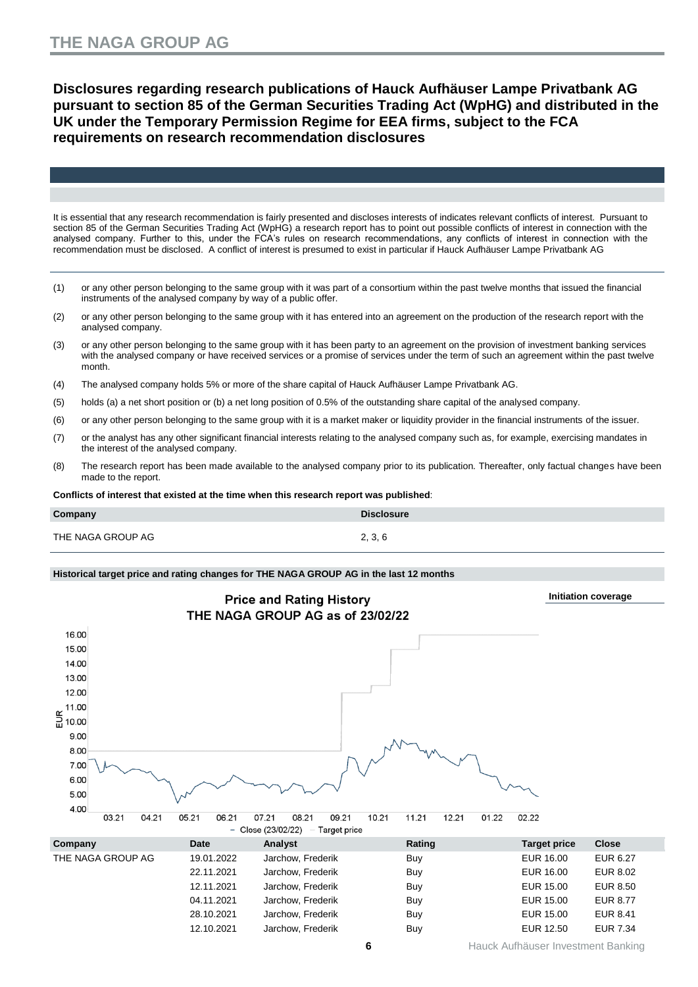**Disclosures regarding research publications of Hauck Aufhäuser Lampe Privatbank AG pursuant to section 85 of the German Securities Trading Act (WpHG) and distributed in the UK under the Temporary Permission Regime for EEA firms, subject to the FCA requirements on research recommendation disclosures**

It is essential that any research recommendation is fairly presented and discloses interests of indicates relevant conflicts of interest. Pursuant to section 85 of the German Securities Trading Act (WpHG) a research report has to point out possible conflicts of interest in connection with the analysed company. Further to this, under the FCA's rules on research recommendations, any conflicts of interest in connection with the recommendation must be disclosed. A conflict of interest is presumed to exist in particular if Hauck Aufhäuser Lampe Privatbank AG

- (1) or any other person belonging to the same group with it was part of a consortium within the past twelve months that issued the financial instruments of the analysed company by way of a public offer.
- (2) or any other person belonging to the same group with it has entered into an agreement on the production of the research report with the analysed company.
- (3) or any other person belonging to the same group with it has been party to an agreement on the provision of investment banking services with the analysed company or have received services or a promise of services under the term of such an agreement within the past twelve month.
- (4) The analysed company holds 5% or more of the share capital of Hauck Aufhäuser Lampe Privatbank AG.
- (5) holds (a) a net short position or (b) a net long position of 0.5% of the outstanding share capital of the analysed company.
- (6) or any other person belonging to the same group with it is a market maker or liquidity provider in the financial instruments of the issuer.
- (7) or the analyst has any other significant financial interests relating to the analysed company such as, for example, exercising mandates in the interest of the analysed company.
- (8) The research report has been made available to the analysed company prior to its publication. Thereafter, only factual changes have been made to the report.

**Conflicts of interest that existed at the time when this research report was published**:

| Company           | <b>Disclosure</b> |
|-------------------|-------------------|
| THE NAGA GROUP AG | 2, 3, 6           |

#### **Historical target price and rating changes for THE NAGA GROUP AG in the last 12 months**

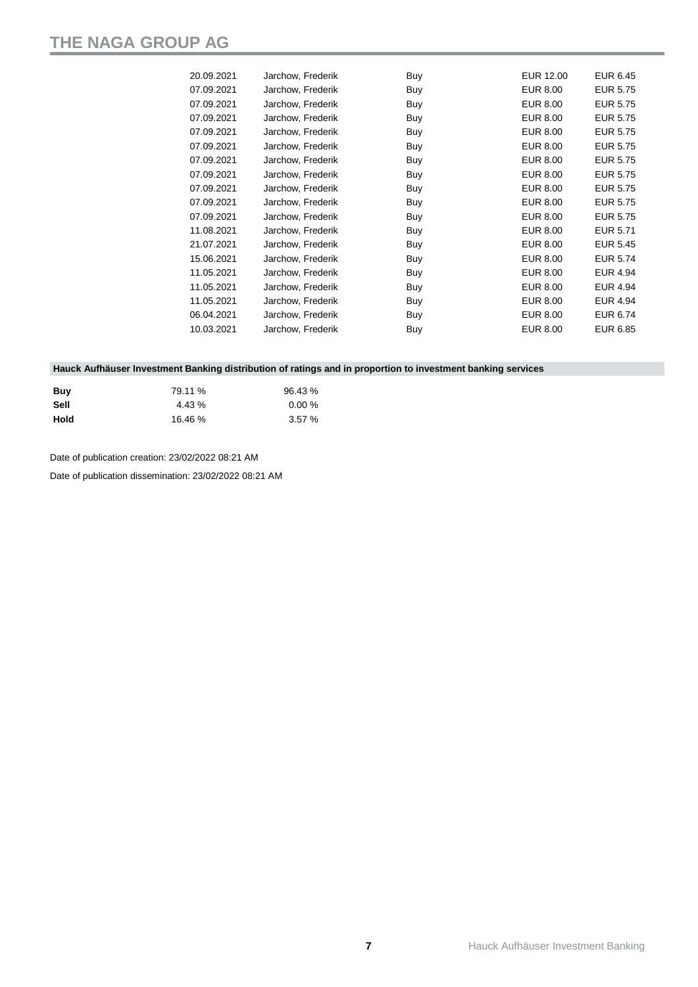| 20.09.2021 | Jarchow, Frederik | Buy | EUR 12.00       | EUR 6.45        |
|------------|-------------------|-----|-----------------|-----------------|
| 07.09.2021 | Jarchow, Frederik | Buy | <b>EUR 8.00</b> | <b>EUR 5.75</b> |
| 07.09.2021 | Jarchow, Frederik | Buy | <b>EUR 8.00</b> | <b>EUR 5.75</b> |
| 07.09.2021 | Jarchow, Frederik | Buy | <b>EUR 8.00</b> | <b>EUR 5.75</b> |
| 07.09.2021 | Jarchow, Frederik | Buy | <b>EUR 8.00</b> | <b>EUR 5.75</b> |
| 07.09.2021 | Jarchow, Frederik | Buy | <b>EUR 8.00</b> | <b>EUR 5.75</b> |
| 07.09.2021 | Jarchow, Frederik | Buy | <b>EUR 8.00</b> | <b>EUR 5.75</b> |
| 07.09.2021 | Jarchow, Frederik | Buy | <b>EUR 8.00</b> | <b>EUR 5.75</b> |
| 07.09.2021 | Jarchow, Frederik | Buy | EUR 8.00        | <b>EUR 5.75</b> |
| 07.09.2021 | Jarchow, Frederik | Buy | <b>EUR 8.00</b> | <b>EUR 5.75</b> |
| 07.09.2021 | Jarchow, Frederik | Buy | <b>EUR 8.00</b> | <b>EUR 5.75</b> |
| 11.08.2021 | Jarchow, Frederik | Buy | <b>EUR 8.00</b> | <b>EUR 5.71</b> |
| 21.07.2021 | Jarchow, Frederik | Buy | EUR 8.00        | <b>EUR 5.45</b> |
| 15.06.2021 | Jarchow, Frederik | Buy | <b>EUR 8.00</b> | <b>EUR 5.74</b> |
| 11.05.2021 | Jarchow, Frederik | Buy | <b>EUR 8.00</b> | <b>EUR 4.94</b> |
| 11.05.2021 | Jarchow, Frederik | Buy | <b>EUR 8.00</b> | EUR 4.94        |
| 11.05.2021 | Jarchow, Frederik | Buy | <b>EUR 8.00</b> | EUR 4.94        |
| 06.04.2021 | Jarchow, Frederik | Buy | <b>EUR 8.00</b> | <b>EUR 6.74</b> |
| 10.03.2021 | Jarchow, Frederik | Buy | <b>EUR 8.00</b> | EUR 6.85        |
|            |                   |     |                 |                 |

#### **Hauck Aufhäuser Investment Banking distribution of ratings and in proportion to investment banking services**

| Buv  | 79.11 %  | 96.43 % |
|------|----------|---------|
| Sell | $4.43\%$ | 0.00%   |
| Hold | 16.46 %  | 3.57%   |

Date of publication creation: 23/02/2022 08:21 AM

Date of publication dissemination: 23/02/2022 08:21 AM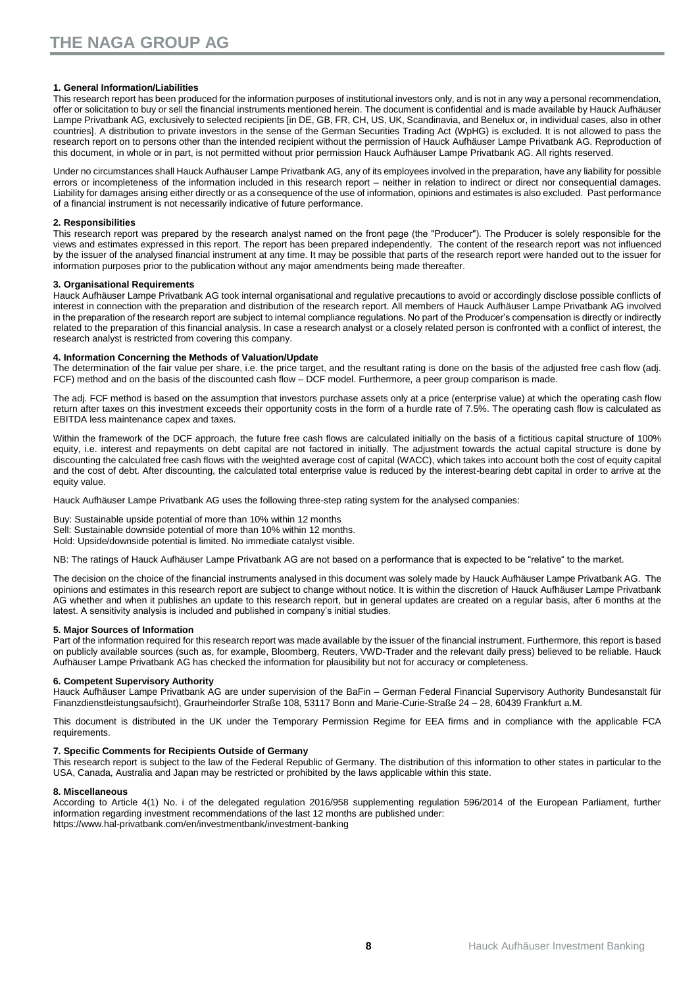#### **1. General Information/Liabilities**

This research report has been produced for the information purposes of institutional investors only, and is not in any way a personal recommendation, offer or solicitation to buy or sell the financial instruments mentioned herein. The document is confidential and is made available by Hauck Aufhäuser Lampe Privatbank AG, exclusively to selected recipients [in DE, GB, FR, CH, US, UK, Scandinavia, and Benelux or, in individual cases, also in other countries]. A distribution to private investors in the sense of the German Securities Trading Act (WpHG) is excluded. It is not allowed to pass the research report on to persons other than the intended recipient without the permission of Hauck Aufhäuser Lampe Privatbank AG. Reproduction of this document, in whole or in part, is not permitted without prior permission Hauck Aufhäuser Lampe Privatbank AG. All rights reserved.

Under no circumstances shall Hauck Aufhäuser Lampe Privatbank AG, any of its employees involved in the preparation, have any liability for possible errors or incompleteness of the information included in this research report – neither in relation to indirect or direct nor consequential damages. Liability for damages arising either directly or as a consequence of the use of information, opinions and estimates is also excluded. Past performance of a financial instrument is not necessarily indicative of future performance.

#### **2. Responsibilities**

This research report was prepared by the research analyst named on the front page (the "Producer"). The Producer is solely responsible for the views and estimates expressed in this report. The report has been prepared independently. The content of the research report was not influenced by the issuer of the analysed financial instrument at any time. It may be possible that parts of the research report were handed out to the issuer for information purposes prior to the publication without any major amendments being made thereafter.

#### **3. Organisational Requirements**

Hauck Aufhäuser Lampe Privatbank AG took internal organisational and regulative precautions to avoid or accordingly disclose possible conflicts of interest in connection with the preparation and distribution of the research report. All members of Hauck Aufhäuser Lampe Privatbank AG involved in the preparation of the research report are subject to internal compliance regulations. No part of the Producer's compensation is directly or indirectly related to the preparation of this financial analysis. In case a research analyst or a closely related person is confronted with a conflict of interest, the research analyst is restricted from covering this company.

#### **4. Information Concerning the Methods of Valuation/Update**

The determination of the fair value per share, i.e. the price target, and the resultant rating is done on the basis of the adjusted free cash flow (adj. FCF) method and on the basis of the discounted cash flow – DCF model. Furthermore, a peer group comparison is made.

The adj. FCF method is based on the assumption that investors purchase assets only at a price (enterprise value) at which the operating cash flow return after taxes on this investment exceeds their opportunity costs in the form of a hurdle rate of 7.5%. The operating cash flow is calculated as EBITDA less maintenance capex and taxes.

Within the framework of the DCF approach, the future free cash flows are calculated initially on the basis of a fictitious capital structure of 100% equity, i.e. interest and repayments on debt capital are not factored in initially. The adjustment towards the actual capital structure is done by discounting the calculated free cash flows with the weighted average cost of capital (WACC), which takes into account both the cost of equity capital and the cost of debt. After discounting, the calculated total enterprise value is reduced by the interest-bearing debt capital in order to arrive at the equity value.

Hauck Aufhäuser Lampe Privatbank AG uses the following three-step rating system for the analysed companies:

Buy: Sustainable upside potential of more than 10% within 12 months Sell: Sustainable downside potential of more than 10% within 12 months.

Hold: Upside/downside potential is limited. No immediate catalyst visible.

NB: The ratings of Hauck Aufhäuser Lampe Privatbank AG are not based on a performance that is expected to be "relative" to the market.

The decision on the choice of the financial instruments analysed in this document was solely made by Hauck Aufhäuser Lampe Privatbank AG. The opinions and estimates in this research report are subject to change without notice. It is within the discretion of Hauck Aufhäuser Lampe Privatbank AG whether and when it publishes an update to this research report, but in general updates are created on a regular basis, after 6 months at the latest. A sensitivity analysis is included and published in company's initial studies.

#### **5. Major Sources of Information**

Part of the information required for this research report was made available by the issuer of the financial instrument. Furthermore, this report is based on publicly available sources (such as, for example, Bloomberg, Reuters, VWD-Trader and the relevant daily press) believed to be reliable. Hauck Aufhäuser Lampe Privatbank AG has checked the information for plausibility but not for accuracy or completeness.

#### **6. Competent Supervisory Authority**

Hauck Aufhäuser Lampe Privatbank AG are under supervision of the BaFin – German Federal Financial Supervisory Authority Bundesanstalt für Finanzdienstleistungsaufsicht), Graurheindorfer Straße 108, 53117 Bonn and Marie-Curie-Straße 24 – 28, 60439 Frankfurt a.M.

This document is distributed in the UK under the Temporary Permission Regime for EEA firms and in compliance with the applicable FCA requirements.

#### **7. Specific Comments for Recipients Outside of Germany**

This research report is subject to the law of the Federal Republic of Germany. The distribution of this information to other states in particular to the USA, Canada, Australia and Japan may be restricted or prohibited by the laws applicable within this state.

#### **8. Miscellaneous**

According to Article 4(1) No. i of the delegated regulation 2016/958 supplementing regulation 596/2014 of the European Parliament, further information regarding investment recommendations of the last 12 months are published under: <https://www.hal-privatbank.com/en/investmentbank/investment-banking>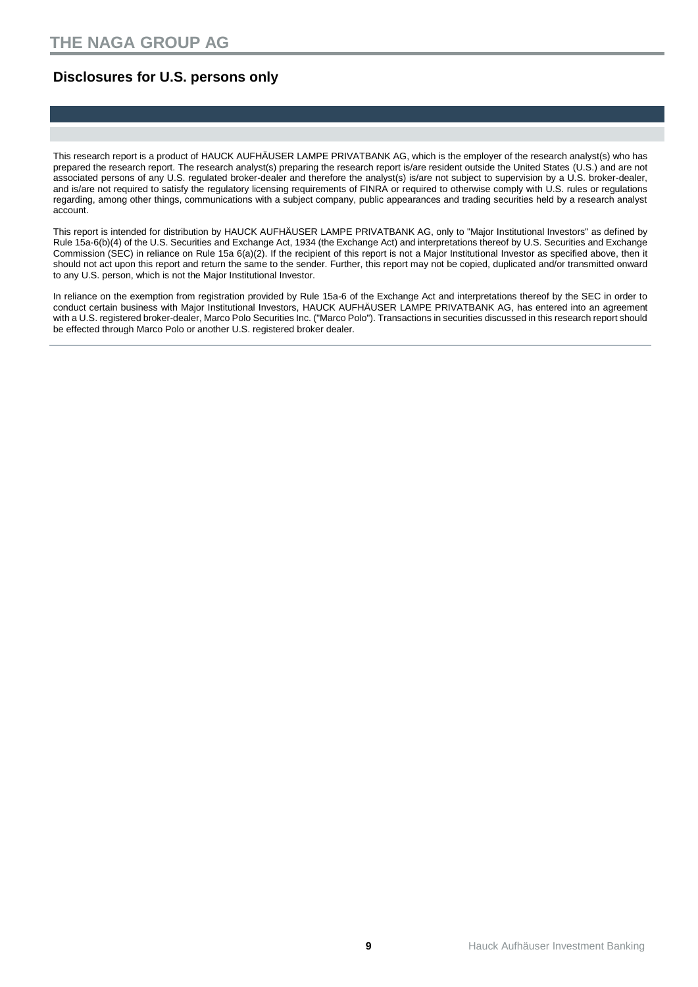### **Disclosures for U.S. persons only**

This research report is a product of HAUCK AUFHÄUSER LAMPE PRIVATBANK AG, which is the employer of the research analyst(s) who has prepared the research report. The research analyst(s) preparing the research report is/are resident outside the United States (U.S.) and are not associated persons of any U.S. regulated broker-dealer and therefore the analyst(s) is/are not subject to supervision by a U.S. broker-dealer, and is/are not required to satisfy the regulatory licensing requirements of FINRA or required to otherwise comply with U.S. rules or regulations regarding, among other things, communications with a subject company, public appearances and trading securities held by a research analyst account.

This report is intended for distribution by HAUCK AUFHÄUSER LAMPE PRIVATBANK AG, only to "Major Institutional Investors" as defined by Rule 15a-6(b)(4) of the U.S. Securities and Exchange Act, 1934 (the Exchange Act) and interpretations thereof by U.S. Securities and Exchange Commission (SEC) in reliance on Rule 15a 6(a)(2). If the recipient of this report is not a Major Institutional Investor as specified above, then it should not act upon this report and return the same to the sender. Further, this report may not be copied, duplicated and/or transmitted onward to any U.S. person, which is not the Major Institutional Investor.

In reliance on the exemption from registration provided by Rule 15a-6 of the Exchange Act and interpretations thereof by the SEC in order to conduct certain business with Major Institutional Investors, HAUCK AUFHÄUSER LAMPE PRIVATBANK AG, has entered into an agreement with a U.S. registered broker-dealer, Marco Polo Securities Inc. ("Marco Polo"). Transactions in securities discussed in this research report should be effected through Marco Polo or another U.S. registered broker dealer.